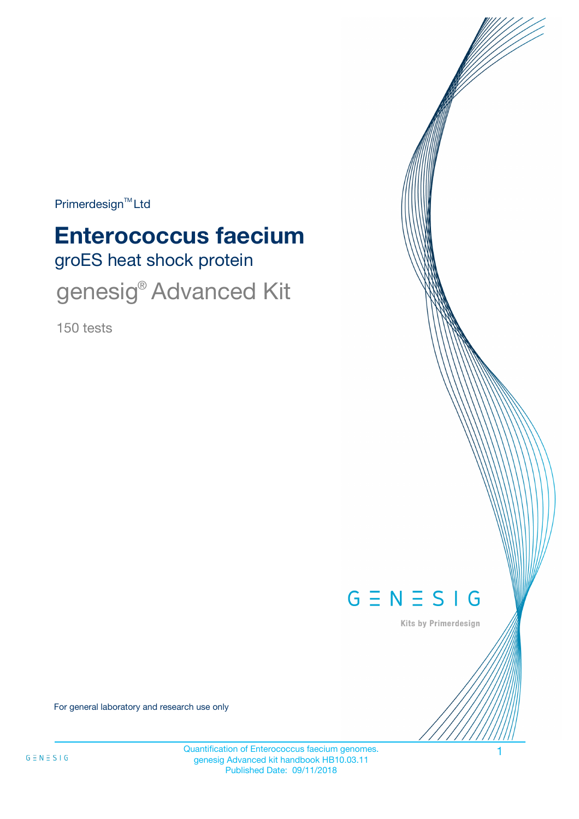Primerdesign<sup>™</sup>Ltd

# groES heat shock protein **Enterococcus faecium**

genesig<sup>®</sup> Advanced Kit

150 tests



Kits by Primerdesign

For general laboratory and research use only

Quantification of Enterococcus faecium genomes. 1 genesig Advanced kit handbook HB10.03.11 Published Date: 09/11/2018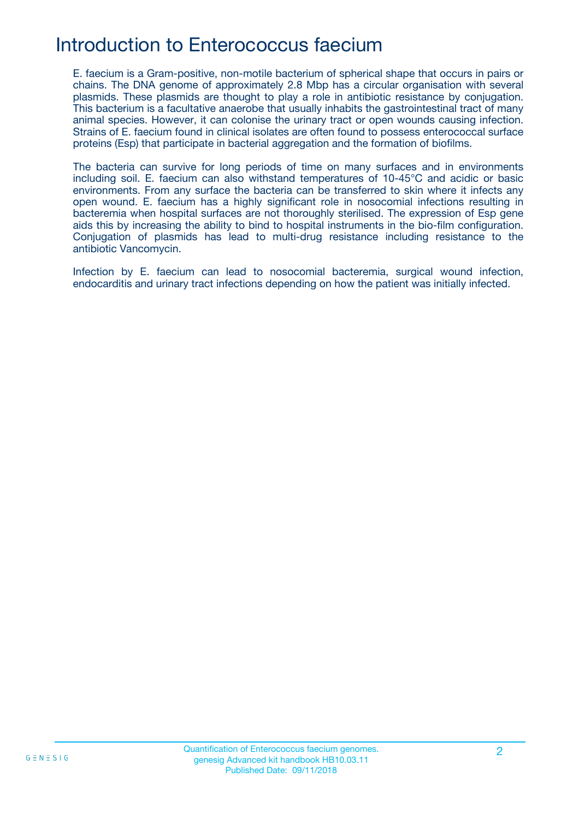# Introduction to Enterococcus faecium

E. faecium is a Gram-positive, non-motile bacterium of spherical shape that occurs in pairs or chains. The DNA genome of approximately 2.8 Mbp has a circular organisation with several plasmids. These plasmids are thought to play a role in antibiotic resistance by conjugation. This bacterium is a facultative anaerobe that usually inhabits the gastrointestinal tract of many animal species. However, it can colonise the urinary tract or open wounds causing infection. Strains of E. faecium found in clinical isolates are often found to possess enterococcal surface proteins (Esp) that participate in bacterial aggregation and the formation of biofilms.

The bacteria can survive for long periods of time on many surfaces and in environments including soil. E. faecium can also withstand temperatures of 10-45°C and acidic or basic environments. From any surface the bacteria can be transferred to skin where it infects any open wound. E. faecium has a highly significant role in nosocomial infections resulting in bacteremia when hospital surfaces are not thoroughly sterilised. The expression of Esp gene aids this by increasing the ability to bind to hospital instruments in the bio-film configuration. Conjugation of plasmids has lead to multi-drug resistance including resistance to the antibiotic Vancomycin.

Infection by E. faecium can lead to nosocomial bacteremia, surgical wound infection, endocarditis and urinary tract infections depending on how the patient was initially infected.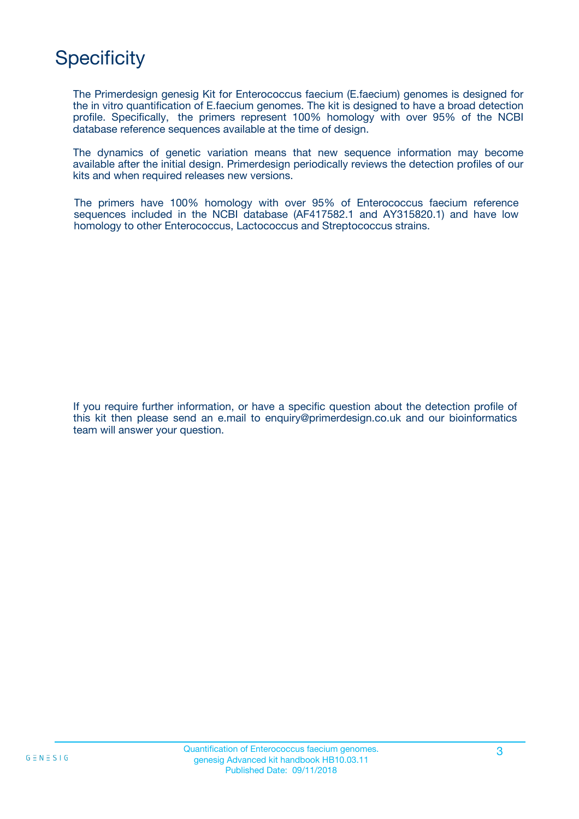# **Specificity**

The Primerdesign genesig Kit for Enterococcus faecium (E.faecium) genomes is designed for the in vitro quantification of E.faecium genomes. The kit is designed to have a broad detection profile. Specifically, the primers represent 100% homology with over 95% of the NCBI database reference sequences available at the time of design.

The dynamics of genetic variation means that new sequence information may become available after the initial design. Primerdesign periodically reviews the detection profiles of our kits and when required releases new versions.

The primers have 100% homology with over 95% of Enterococcus faecium reference sequences included in the NCBI database (AF417582.1 and AY315820.1) and have low homology to other Enterococcus, Lactococcus and Streptococcus strains.

If you require further information, or have a specific question about the detection profile of this kit then please send an e.mail to enquiry@primerdesign.co.uk and our bioinformatics team will answer your question.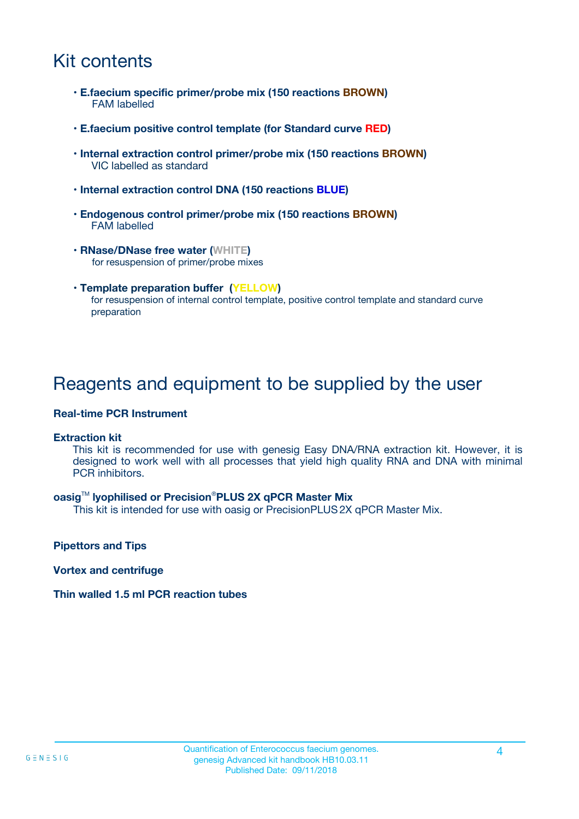# Kit contents

- **E.faecium specific primer/probe mix (150 reactions BROWN)** FAM labelled
- **E.faecium positive control template (for Standard curve RED)**
- **Internal extraction control primer/probe mix (150 reactions BROWN)** VIC labelled as standard
- **Internal extraction control DNA (150 reactions BLUE)**
- **Endogenous control primer/probe mix (150 reactions BROWN)** FAM labelled
- **RNase/DNase free water (WHITE)** for resuspension of primer/probe mixes
- **Template preparation buffer (YELLOW)** for resuspension of internal control template, positive control template and standard curve preparation

### Reagents and equipment to be supplied by the user

#### **Real-time PCR Instrument**

#### **Extraction kit**

This kit is recommended for use with genesig Easy DNA/RNA extraction kit. However, it is designed to work well with all processes that yield high quality RNA and DNA with minimal PCR inhibitors.

#### **oasig**TM **lyophilised or Precision**®**PLUS 2X qPCR Master Mix**

This kit is intended for use with oasig or PrecisionPLUS2X qPCR Master Mix.

**Pipettors and Tips**

**Vortex and centrifuge**

#### **Thin walled 1.5 ml PCR reaction tubes**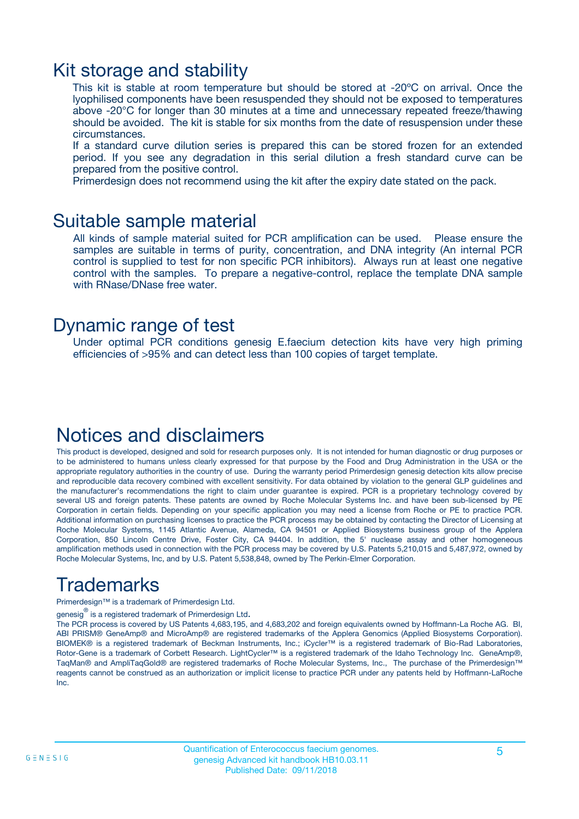### Kit storage and stability

This kit is stable at room temperature but should be stored at -20ºC on arrival. Once the lyophilised components have been resuspended they should not be exposed to temperatures above -20°C for longer than 30 minutes at a time and unnecessary repeated freeze/thawing should be avoided. The kit is stable for six months from the date of resuspension under these circumstances.

If a standard curve dilution series is prepared this can be stored frozen for an extended period. If you see any degradation in this serial dilution a fresh standard curve can be prepared from the positive control.

Primerdesign does not recommend using the kit after the expiry date stated on the pack.

### Suitable sample material

All kinds of sample material suited for PCR amplification can be used. Please ensure the samples are suitable in terms of purity, concentration, and DNA integrity (An internal PCR control is supplied to test for non specific PCR inhibitors). Always run at least one negative control with the samples. To prepare a negative-control, replace the template DNA sample with RNase/DNase free water.

### Dynamic range of test

Under optimal PCR conditions genesig E.faecium detection kits have very high priming efficiencies of >95% and can detect less than 100 copies of target template.

### Notices and disclaimers

This product is developed, designed and sold for research purposes only. It is not intended for human diagnostic or drug purposes or to be administered to humans unless clearly expressed for that purpose by the Food and Drug Administration in the USA or the appropriate regulatory authorities in the country of use. During the warranty period Primerdesign genesig detection kits allow precise and reproducible data recovery combined with excellent sensitivity. For data obtained by violation to the general GLP guidelines and the manufacturer's recommendations the right to claim under guarantee is expired. PCR is a proprietary technology covered by several US and foreign patents. These patents are owned by Roche Molecular Systems Inc. and have been sub-licensed by PE Corporation in certain fields. Depending on your specific application you may need a license from Roche or PE to practice PCR. Additional information on purchasing licenses to practice the PCR process may be obtained by contacting the Director of Licensing at Roche Molecular Systems, 1145 Atlantic Avenue, Alameda, CA 94501 or Applied Biosystems business group of the Applera Corporation, 850 Lincoln Centre Drive, Foster City, CA 94404. In addition, the 5' nuclease assay and other homogeneous amplification methods used in connection with the PCR process may be covered by U.S. Patents 5,210,015 and 5,487,972, owned by Roche Molecular Systems, Inc, and by U.S. Patent 5,538,848, owned by The Perkin-Elmer Corporation.

# Trademarks

Primerdesign™ is a trademark of Primerdesign Ltd.

genesig $^\circledR$  is a registered trademark of Primerdesign Ltd.

The PCR process is covered by US Patents 4,683,195, and 4,683,202 and foreign equivalents owned by Hoffmann-La Roche AG. BI, ABI PRISM® GeneAmp® and MicroAmp® are registered trademarks of the Applera Genomics (Applied Biosystems Corporation). BIOMEK® is a registered trademark of Beckman Instruments, Inc.; iCycler™ is a registered trademark of Bio-Rad Laboratories, Rotor-Gene is a trademark of Corbett Research. LightCycler™ is a registered trademark of the Idaho Technology Inc. GeneAmp®, TaqMan® and AmpliTaqGold® are registered trademarks of Roche Molecular Systems, Inc., The purchase of the Primerdesign™ reagents cannot be construed as an authorization or implicit license to practice PCR under any patents held by Hoffmann-LaRoche Inc.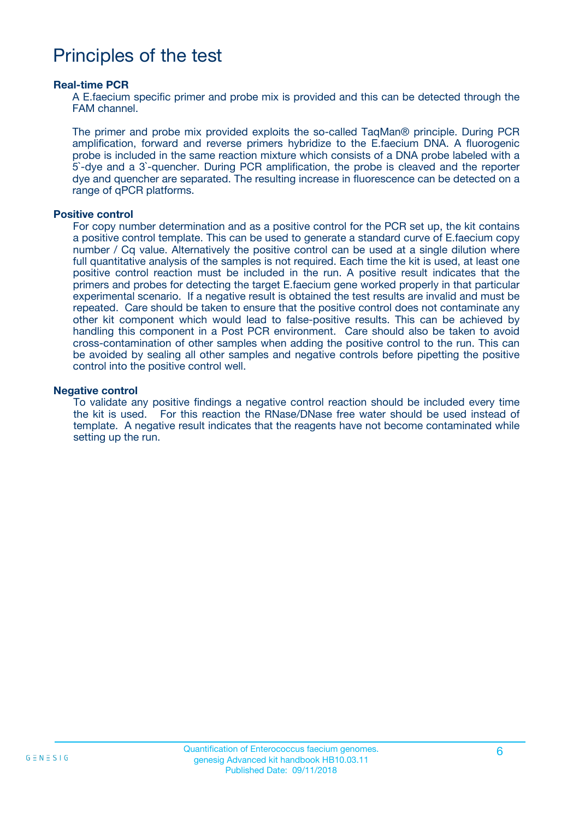### Principles of the test

#### **Real-time PCR**

A E.faecium specific primer and probe mix is provided and this can be detected through the FAM channel.

The primer and probe mix provided exploits the so-called TaqMan® principle. During PCR amplification, forward and reverse primers hybridize to the E.faecium DNA. A fluorogenic probe is included in the same reaction mixture which consists of a DNA probe labeled with a 5`-dye and a 3`-quencher. During PCR amplification, the probe is cleaved and the reporter dye and quencher are separated. The resulting increase in fluorescence can be detected on a range of qPCR platforms.

#### **Positive control**

For copy number determination and as a positive control for the PCR set up, the kit contains a positive control template. This can be used to generate a standard curve of E.faecium copy number / Cq value. Alternatively the positive control can be used at a single dilution where full quantitative analysis of the samples is not required. Each time the kit is used, at least one positive control reaction must be included in the run. A positive result indicates that the primers and probes for detecting the target E.faecium gene worked properly in that particular experimental scenario. If a negative result is obtained the test results are invalid and must be repeated. Care should be taken to ensure that the positive control does not contaminate any other kit component which would lead to false-positive results. This can be achieved by handling this component in a Post PCR environment. Care should also be taken to avoid cross-contamination of other samples when adding the positive control to the run. This can be avoided by sealing all other samples and negative controls before pipetting the positive control into the positive control well.

#### **Negative control**

To validate any positive findings a negative control reaction should be included every time the kit is used. For this reaction the RNase/DNase free water should be used instead of template. A negative result indicates that the reagents have not become contaminated while setting up the run.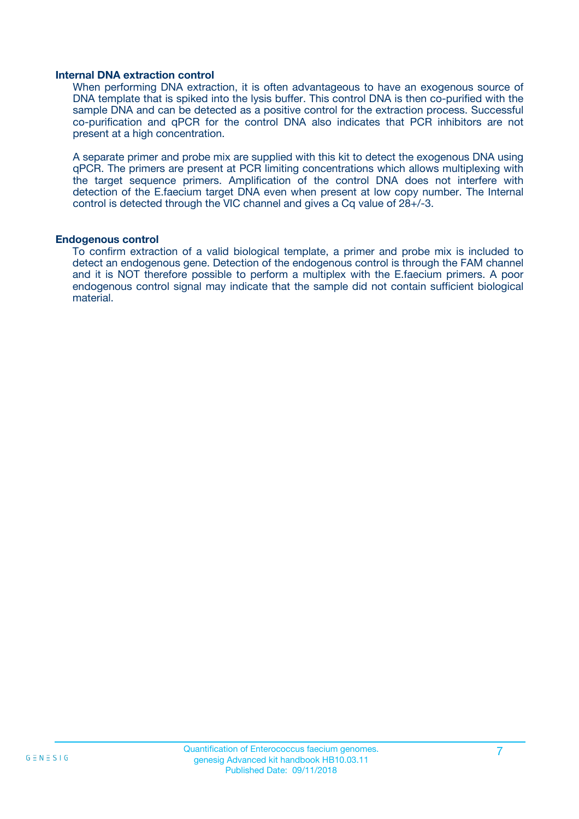#### **Internal DNA extraction control**

When performing DNA extraction, it is often advantageous to have an exogenous source of DNA template that is spiked into the lysis buffer. This control DNA is then co-purified with the sample DNA and can be detected as a positive control for the extraction process. Successful co-purification and qPCR for the control DNA also indicates that PCR inhibitors are not present at a high concentration.

A separate primer and probe mix are supplied with this kit to detect the exogenous DNA using qPCR. The primers are present at PCR limiting concentrations which allows multiplexing with the target sequence primers. Amplification of the control DNA does not interfere with detection of the E.faecium target DNA even when present at low copy number. The Internal control is detected through the VIC channel and gives a Cq value of 28+/-3.

#### **Endogenous control**

To confirm extraction of a valid biological template, a primer and probe mix is included to detect an endogenous gene. Detection of the endogenous control is through the FAM channel and it is NOT therefore possible to perform a multiplex with the E.faecium primers. A poor endogenous control signal may indicate that the sample did not contain sufficient biological material.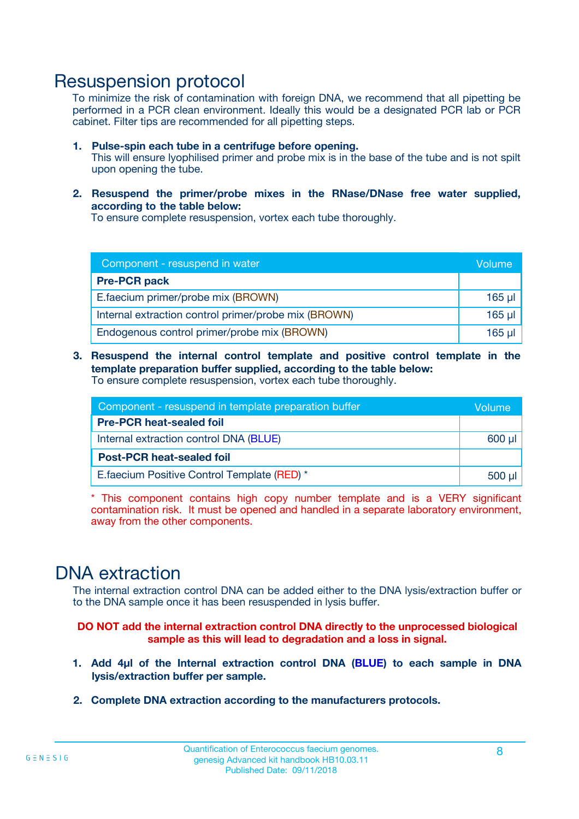### Resuspension protocol

To minimize the risk of contamination with foreign DNA, we recommend that all pipetting be performed in a PCR clean environment. Ideally this would be a designated PCR lab or PCR cabinet. Filter tips are recommended for all pipetting steps.

- **1. Pulse-spin each tube in a centrifuge before opening.** This will ensure lyophilised primer and probe mix is in the base of the tube and is not spilt upon opening the tube.
- **2. Resuspend the primer/probe mixes in the RNase/DNase free water supplied, according to the table below:**

To ensure complete resuspension, vortex each tube thoroughly.

| Component - resuspend in water                       |          |  |
|------------------------------------------------------|----------|--|
| <b>Pre-PCR pack</b>                                  |          |  |
| E.faecium primer/probe mix (BROWN)                   | $165$ µ  |  |
| Internal extraction control primer/probe mix (BROWN) | $165$ µl |  |
| Endogenous control primer/probe mix (BROWN)          | 165 µl   |  |

**3. Resuspend the internal control template and positive control template in the template preparation buffer supplied, according to the table below:** To ensure complete resuspension, vortex each tube thoroughly.

| Component - resuspend in template preparation buffer |  |  |  |
|------------------------------------------------------|--|--|--|
| <b>Pre-PCR heat-sealed foil</b>                      |  |  |  |
| Internal extraction control DNA (BLUE)               |  |  |  |
| <b>Post-PCR heat-sealed foil</b>                     |  |  |  |
| E. faecium Positive Control Template (RED) *         |  |  |  |

\* This component contains high copy number template and is a VERY significant contamination risk. It must be opened and handled in a separate laboratory environment, away from the other components.

### DNA extraction

The internal extraction control DNA can be added either to the DNA lysis/extraction buffer or to the DNA sample once it has been resuspended in lysis buffer.

**DO NOT add the internal extraction control DNA directly to the unprocessed biological sample as this will lead to degradation and a loss in signal.**

- **1. Add 4µl of the Internal extraction control DNA (BLUE) to each sample in DNA lysis/extraction buffer per sample.**
- **2. Complete DNA extraction according to the manufacturers protocols.**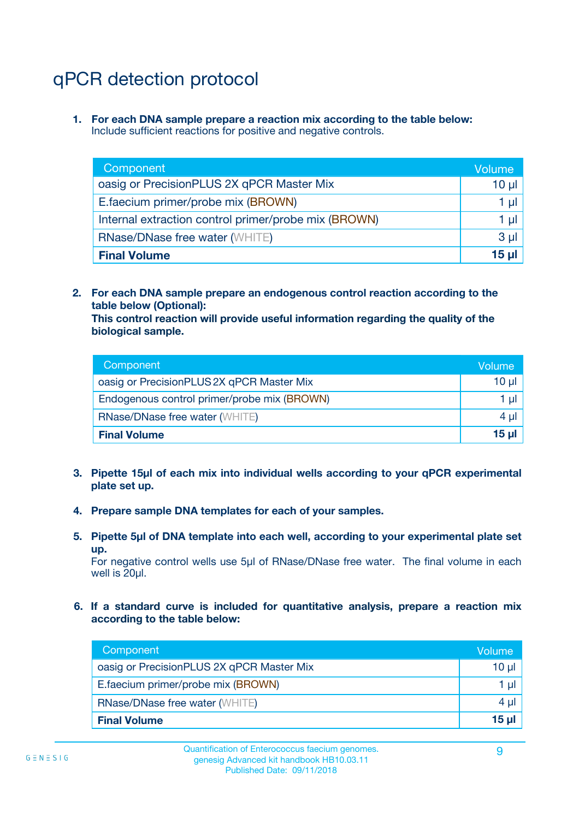# qPCR detection protocol

**1. For each DNA sample prepare a reaction mix according to the table below:** Include sufficient reactions for positive and negative controls.

| Component                                            | Volume   |
|------------------------------------------------------|----------|
| oasig or PrecisionPLUS 2X qPCR Master Mix            | 10 $\mu$ |
| E.faecium primer/probe mix (BROWN)                   | 1 µI     |
| Internal extraction control primer/probe mix (BROWN) | 1 µl     |
| <b>RNase/DNase free water (WHITE)</b>                | $3 \mu$  |
| <b>Final Volume</b>                                  | 15 µl    |

**2. For each DNA sample prepare an endogenous control reaction according to the table below (Optional):**

**This control reaction will provide useful information regarding the quality of the biological sample.**

| Component                                   | Volume          |
|---------------------------------------------|-----------------|
| oasig or PrecisionPLUS 2X qPCR Master Mix   | $10 \mu$        |
| Endogenous control primer/probe mix (BROWN) | 1 µI            |
| <b>RNase/DNase free water (WHITE)</b>       | 4 µl            |
| <b>Final Volume</b>                         | 15 <sub>µ</sub> |

- **3. Pipette 15µl of each mix into individual wells according to your qPCR experimental plate set up.**
- **4. Prepare sample DNA templates for each of your samples.**
- **5. Pipette 5µl of DNA template into each well, according to your experimental plate set up.**

For negative control wells use 5µl of RNase/DNase free water. The final volume in each well is 20ul.

**6. If a standard curve is included for quantitative analysis, prepare a reaction mix according to the table below:**

| Component                                 | Volume  |
|-------------------------------------------|---------|
| oasig or PrecisionPLUS 2X qPCR Master Mix | 10 µl   |
| E.faecium primer/probe mix (BROWN)        | 1 µI    |
| <b>RNase/DNase free water (WHITE)</b>     | $4 \mu$ |
| <b>Final Volume</b>                       | 15 µl   |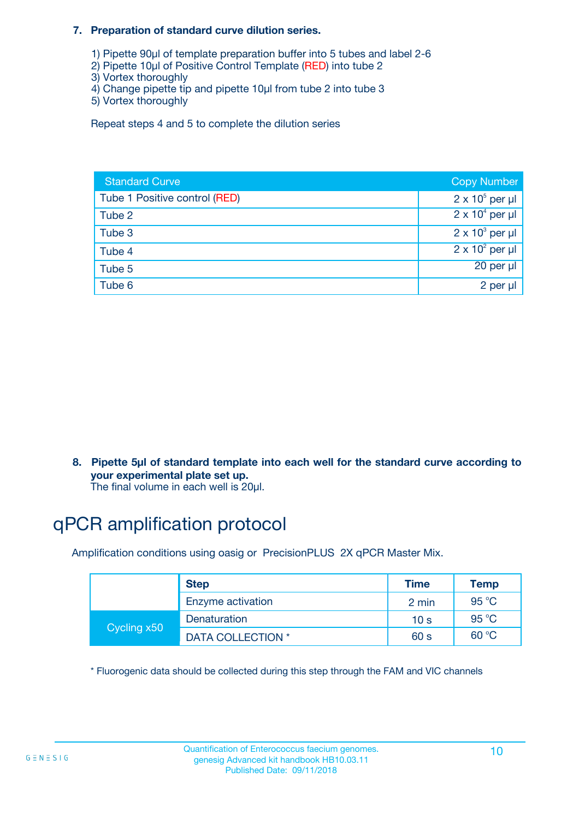#### **7. Preparation of standard curve dilution series.**

- 1) Pipette 90µl of template preparation buffer into 5 tubes and label 2-6
- 2) Pipette 10µl of Positive Control Template (RED) into tube 2
- 3) Vortex thoroughly
- 4) Change pipette tip and pipette 10µl from tube 2 into tube 3
- 5) Vortex thoroughly

Repeat steps 4 and 5 to complete the dilution series

| <b>Standard Curve</b>         | <b>Copy Number</b>     |
|-------------------------------|------------------------|
| Tube 1 Positive control (RED) | $2 \times 10^5$ per µl |
| Tube 2                        | $2 \times 10^4$ per µl |
| Tube 3                        | $2 \times 10^3$ per µl |
| Tube 4                        | $2 \times 10^2$ per µl |
| Tube 5                        | 20 per µl              |
| Tube 6                        | 2 per µl               |

**8. Pipette 5µl of standard template into each well for the standard curve according to your experimental plate set up.**

#### The final volume in each well is 20µl.

# qPCR amplification protocol

Amplification conditions using oasig or PrecisionPLUS 2X qPCR Master Mix.

|             | <b>Step</b>       | <b>Time</b>     | Temp    |
|-------------|-------------------|-----------------|---------|
|             | Enzyme activation | 2 min           | 95 °C   |
| Cycling x50 | Denaturation      | 10 <sub>s</sub> | 95 $°C$ |
|             | DATA COLLECTION * | 60 s            | 60 °C   |

\* Fluorogenic data should be collected during this step through the FAM and VIC channels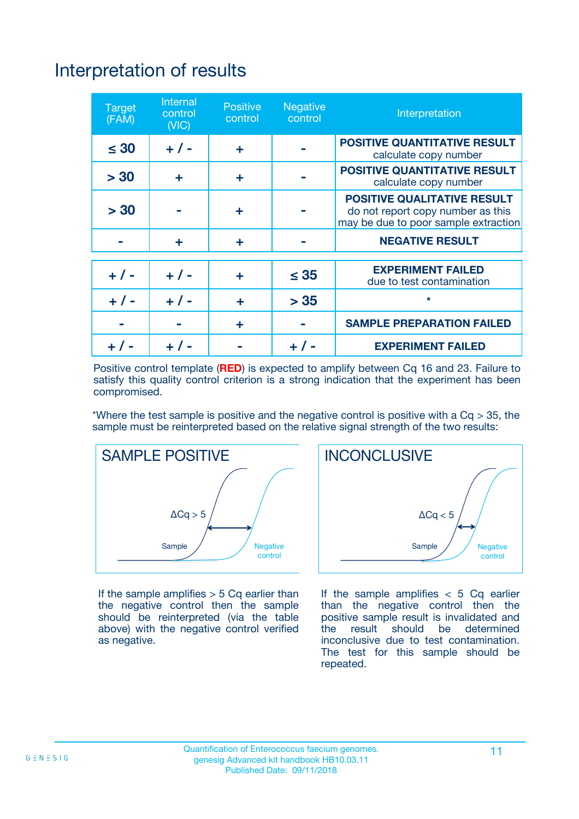# Interpretation of results

| <b>Target</b><br>(FAM) | <b>Internal</b><br>control<br>(NIC) | <b>Positive</b><br>control | <b>Negative</b><br>control | Interpretation                                                                                                  |
|------------------------|-------------------------------------|----------------------------|----------------------------|-----------------------------------------------------------------------------------------------------------------|
| $\leq 30$              | $+ 1 -$                             | ÷                          |                            | <b>POSITIVE QUANTITATIVE RESULT</b><br>calculate copy number                                                    |
| > 30                   | ٠                                   | ÷                          |                            | <b>POSITIVE QUANTITATIVE RESULT</b><br>calculate copy number                                                    |
| > 30                   |                                     | ÷                          |                            | <b>POSITIVE QUALITATIVE RESULT</b><br>do not report copy number as this<br>may be due to poor sample extraction |
|                        | ÷                                   | ÷                          |                            | <b>NEGATIVE RESULT</b>                                                                                          |
| $+ 1 -$                | $+ 1 -$                             | ÷                          | $\leq$ 35                  | <b>EXPERIMENT FAILED</b><br>due to test contamination                                                           |
| $+$ / -                | $+ 1 -$                             | ÷                          | > 35                       | $\star$                                                                                                         |
|                        |                                     | ÷                          |                            | <b>SAMPLE PREPARATION FAILED</b>                                                                                |
|                        |                                     |                            | $+$ /                      | <b>EXPERIMENT FAILED</b>                                                                                        |

Positive control template (**RED**) is expected to amplify between Cq 16 and 23. Failure to satisfy this quality control criterion is a strong indication that the experiment has been compromised.

\*Where the test sample is positive and the negative control is positive with a  $Ca > 35$ , the sample must be reinterpreted based on the relative signal strength of the two results:



If the sample amplifies  $> 5$  Cq earlier than the negative control then the sample should be reinterpreted (via the table above) with the negative control verified as negative.



If the sample amplifies  $< 5$  Cq earlier than the negative control then the positive sample result is invalidated and<br>the result should be determined  $the$  result should be inconclusive due to test contamination. The test for this sample should be repeated.